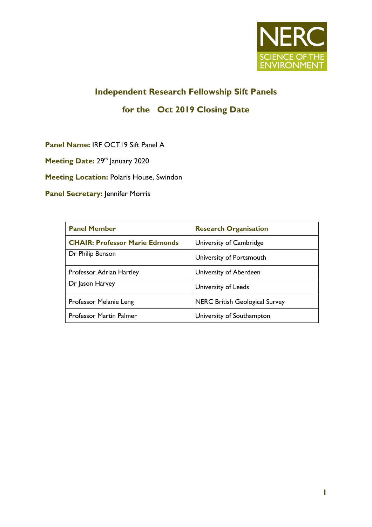

# **Independent Research Fellowship Sift Panels**

# **for the Oct 2019 Closing Date**

**Panel Name:** IRF OCT19 Sift Panel A

**Meeting Date: 29th January 2020** 

**Meeting Location:** Polaris House, Swindon

**Panel Secretary: Jennifer Morris** 

| <b>Panel Member</b>                   | <b>Research Organisation</b>          |
|---------------------------------------|---------------------------------------|
| <b>CHAIR: Professor Marie Edmonds</b> | University of Cambridge               |
| Dr Philip Benson                      | University of Portsmouth              |
| Professor Adrian Hartley              | University of Aberdeen                |
| Dr Jason Harvey                       | University of Leeds                   |
| Professor Melanie Leng                | <b>NERC British Geological Survey</b> |
| <b>Professor Martin Palmer</b>        | University of Southampton             |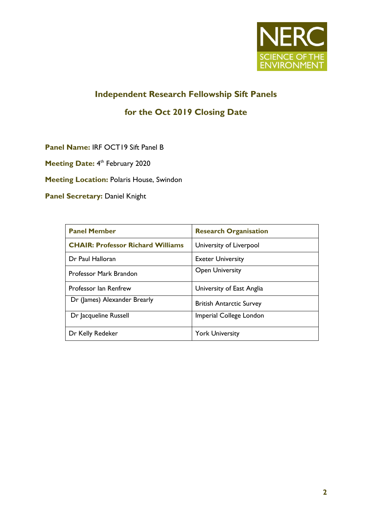

# **Independent Research Fellowship Sift Panels**

### **for the Oct 2019 Closing Date**

**Panel Name:** IRF OCT19 Sift Panel B

Meeting Date: 4<sup>th</sup> February 2020

**Meeting Location:** Polaris House, Swindon

**Panel Secretary: Daniel Knight** 

| <b>Panel Member</b>                      | <b>Research Organisation</b>    |
|------------------------------------------|---------------------------------|
| <b>CHAIR: Professor Richard Williams</b> | University of Liverpool         |
| Dr Paul Halloran                         | <b>Exeter University</b>        |
| Professor Mark Brandon                   | <b>Open University</b>          |
| Professor Ian Renfrew                    | University of East Anglia       |
| Dr (James) Alexander Brearly             | <b>British Antarctic Survey</b> |
| Dr Jacqueline Russell                    | Imperial College London         |
| Dr Kelly Redeker                         | <b>York University</b>          |